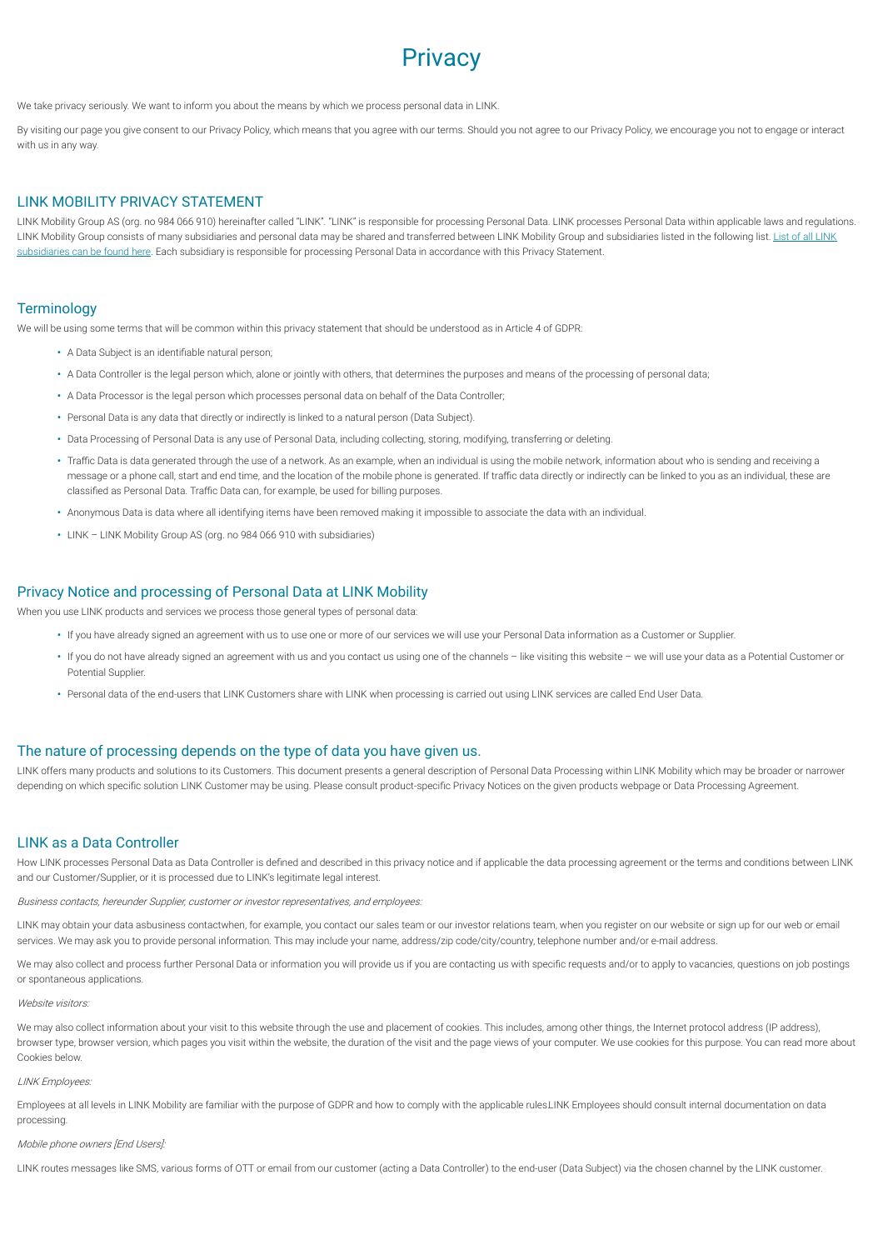# **Privacy**

We take privacy seriously. We want to inform you about the means by which we process personal data in LINK.

By visiting our page you give consent to our Privacy Policy, which means that you agree with our terms. Should you not agree to our Privacy Policy, we encourage you not to engage or interact with us in any way.

# LINK MOBILITY PRIVACY STATEMENT

LINK Mobility Group AS (org. no 984 066 910) hereinafter called "LINK". "LINK" is responsible for processing Personal Data. LINK processes Personal Data within applicable laws and regulations. LINK Mobility Group consists of many [subsidiaries](https://linkmobility.com/wp-content/uploads/2020/04/Subsidiaries-list-06Apr2020.pdf) and personal data may be shared and transferred between LINK Mobility Group and subsidiaries listed in the following list. List of all LINK subsidiaries can be found here. Each subsidiary is responsible for processing Personal Data in accordance with this Privacy Statement.

## **Terminology**

We will be using some terms that will be common within this privacy statement that should be understood as in Article 4 of GDPR:

- A Data Subject is an identifiable natural person:
- **•** A Data Controller is the legal person which, alone or jointly with others, that determines the purposes and means of the processing of personal data;
- **•** A Data Processor is the legal person which processes personal data on behalf of the Data Controller;
- **•** Personal Data is any data that directly or indirectly is linked to a natural person (Data Subject).
- **•** Data Processing of Personal Data is any use of Personal Data, including collecting, storing, modifying, transferring or deleting.
- Traffic Data is data generated through the use of a network. As an example, when an individual is using the mobile network, information about who is sending and receiving a message or a phone call, start and end time, and the location of the mobile phone is generated. If traffic data directly or indirectly can be linked to you as an individual, these are classified as Personal Data. Traffic Data can, for example, be used for billing purposes.
- **•** Anonymous Data is data where all identifying items have been removed making it impossible to associate the data with an individual.
- **•** LINK LINK Mobility Group AS (org. no 984 066 910 with subsidiaries)

## Privacy Notice and processing of Personal Data at LINK Mobility

When you use LINK products and services we process those general types of personal data:

- **•** If you have already signed an agreement with us to use one or more of our services we will use your Personal Data information as a Customer or Supplier.
- **•** If you do not have already signed an agreement with us and you contact us using one of the channels like visiting this website we will use your data as a Potential Customer or Potential Supplier.
- **•** Personal data of the end-users that LINK Customers share with LINK when processing is carried out using LINK services are called End User Data.

# The nature of processing depends on the type of data you have given us.

LINK offers many products and solutions to its Customers. This document presents a general description of Personal Data Processing within LINK Mobility which may be broader or narrower depending on which specific solution LINK Customer may be using. Please consult product-specific Privacy Notices on the given products webpage or Data Processing Agreement.

## LINK as a Data Controller

How LINK processes Personal Data as Data Controller is defined and described in this privacy notice and if applicable the data processing agreement or the terms and conditions between LINK and our Customer/Supplier, or it is processed due to LINK's legitimate legal interest.

Business contacts, hereunder Supplier, customer or investor representatives, and employees:

LINK may obtain your data asbusiness contactwhen, for example, you contact our sales team or our investor relations team, when you register on our website or sign up for our web or email services. We may ask you to provide personal information. This may include your name, address/zip code/city/country, telephone number and/or e-mail address.

We may also collect and process further Personal Data or information you will provide us if you are contacting us with specific requests and/or to apply to vacancies, questions on job postings or spontaneous applications.

#### Website visitors:

We may also collect information about your visit to this website through the use and placement of cookies. This includes, among other things, the Internet protocol address (IP address), browser type, browser version, which pages you visit within the website, the duration of the visit and the page views of your computer. We use cookies for this purpose. You can read more about Cookies below.

#### LINK Employees:

Employees at all levels in LINK Mobility are familiar with the purpose of GDPR and how to comply with the applicable rules.LINK Employees should consult internal documentation on data processing.

#### Mobile phone owners [End Users]:

LINK routes messages like SMS, various forms of OTT or email from our customer (acting a Data Controller) to the end-user (Data Subject) via the chosen channel by the LINK customer.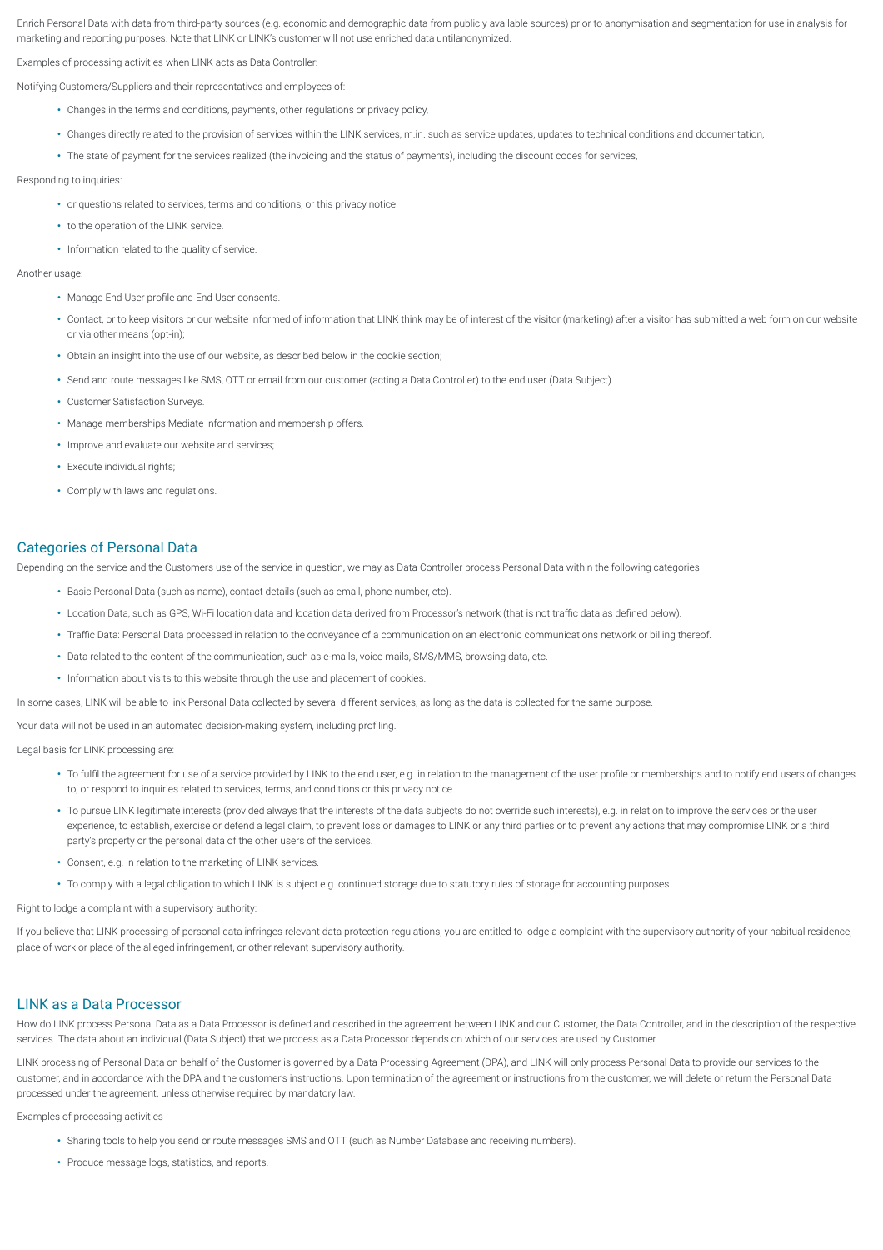Enrich Personal Data with data from third-party sources (e.g. economic and demographic data from publicly available sources) prior to anonymisation and segmentation for use in analysis for marketing and reporting purposes. Note that LINK or LINK's customer will not use enriched data untilanonymized.

Examples of processing activities when LINK acts as Data Controller:

Notifying Customers/Suppliers and their representatives and employees of:

- **•** Changes in the terms and conditions, payments, other regulations or privacy policy,
- **•** Changes directly related to the provision of services within the LINK services, m.in. such as service updates, updates to technical conditions and documentation,
- **•** The state of payment for the services realized (the invoicing and the status of payments), including the discount codes for services,

#### Responding to inquiries:

- **•** or questions related to services, terms and conditions, or this privacy notice
- **•** to the operation of the LINK service.
- **•** Information related to the quality of service.

Another usage:

- Manage End User profile and End User consents.
- **•** Contact, or to keep visitors or our website informed of information that LINK think may be of interest of the visitor (marketing) after a visitor has submitted a web form on our website or via other means (opt-in);
- **•** Obtain an insight into the use of our website, as described below in the cookie section;
- **•** Send and route messages like SMS, OTT or email from our customer (acting a Data Controller) to the end user (Data Subject).
- **•** Customer Satisfaction Surveys.
- **•** Manage memberships Mediate information and membership offers.
- **•** Improve and evaluate our website and services;
- **•** Execute individual rights;
- **•** Comply with laws and regulations.

## Categories of Personal Data

Depending on the service and the Customers use of the service in question, we may as Data Controller process Personal Data within the following categories

- **•** Basic Personal Data (such as name), contact details (such as email, phone number, etc).
- Location Data, such as GPS, Wi-Fi location data and location data derived from Processor's network (that is not traffic data as defined below).
- Traffic Data: Personal Data processed in relation to the conveyance of a communication on an electronic communications network or billing thereof.
- **•** Data related to the content of the communication, such as e-mails, voice mails, SMS/MMS, browsing data, etc.
- **•** Information about visits to this website through the use and placement of cookies.

In some cases, LINK will be able to link Personal Data collected by several different services, as long as the data is collected for the same purpose.

Your data will not be used in an automated decision-making system, including profiling

Legal basis for LINK processing are:

- To fulfil the agreement for use of a service provided by LINK to the end user, e.g. in relation to the management of the user profile or memberships and to notify end users of changes to, or respond to inquiries related to services, terms, and conditions or this privacy notice.
- **•** To pursue LINK legitimate interests (provided always that the interests of the data subjects do not override such interests), e.g. in relation to improve the services or the user experience, to establish, exercise or defend a legal claim, to prevent loss or damages to LINK or any third parties or to prevent any actions that may compromise LINK or a third party's property or the personal data of the other users of the services.
- **•** Consent, e.g. in relation to the marketing of LINK services.
- **•** To comply with a legal obligation to which LINK is subject e.g. continued storage due to statutory rules of storage for accounting purposes.

Right to lodge a complaint with a supervisory authority:

If you believe that LINK processing of personal data infringes relevant data protection regulations, you are entitled to lodge a complaint with the supervisory authority of your habitual residence, place of work or place of the alleged infringement, or other relevant supervisory authority.

## LINK as a Data Processor

How do LINK process Personal Data as a Data Processor is defined and described in the agreement between LINK and our Customer, the Data Controller, and in the description of the respective services. The data about an individual (Data Subject) that we process as a Data Processor depends on which of our services are used by Customer.

LINK processing of Personal Data on behalf of the Customer is governed by a Data Processing Agreement (DPA), and LINK will only process Personal Data to provide our services to the customer, and in accordance with the DPA and the customer's instructions. Upon termination of the agreement or instructions from the customer, we will delete or return the Personal Data processed under the agreement, unless otherwise required by mandatory law.

Examples of processing activities

- **•** Sharing tools to help you send or route messages SMS and OTT (such as Number Database and receiving numbers).
- **•** Produce message logs, statistics, and reports.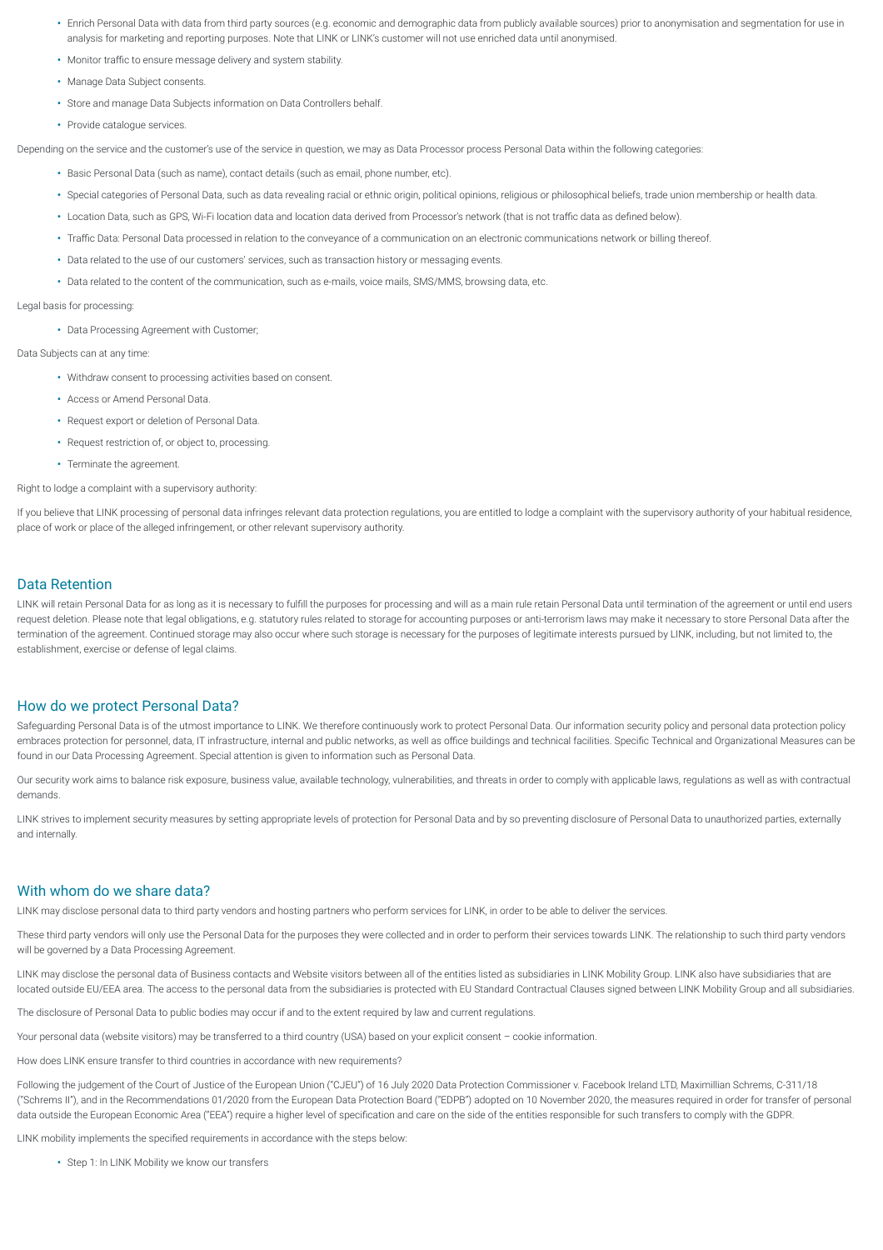- **•** Enrich Personal Data with data from third party sources (e.g. economic and demographic data from publicly available sources) prior to anonymisation and segmentation for use in analysis for marketing and reporting purposes. Note that LINK or LINK's customer will not use enriched data until anonymised.
- Monitor traffic to ensure message delivery and system stability
- **•** Manage Data Subject consents.
- **•** Store and manage Data Subjects information on Data Controllers behalf.
- **•** Provide catalogue services.

Depending on the service and the customer's use of the service in question, we may as Data Processor process Personal Data within the following categories:

- **•** Basic Personal Data (such as name), contact details (such as email, phone number, etc).
- **•** Special categories of Personal Data, such as data revealing racial or ethnic origin, political opinions, religious or philosophical beliefs, trade union membership or health data.
- Location Data, such as GPS, Wi-Fi location data and location data derived from Processor's network (that is not traffic data as defined below).
- Traffic Data: Personal Data processed in relation to the conveyance of a communication on an electronic communications network or billing thereof.
- **•** Data related to the use of our customers' services, such as transaction history or messaging events.
- **•** Data related to the content of the communication, such as e-mails, voice mails, SMS/MMS, browsing data, etc.

#### Legal basis for processing:

**•** Data Processing Agreement with Customer;

Data Subjects can at any time:

- **•** Withdraw consent to processing activities based on consent.
- **•** Access or Amend Personal Data.
- **•** Request export or deletion of Personal Data.
- **•** Request restriction of, or object to, processing.
- **•** Terminate the agreement.

Right to lodge a complaint with a supervisory authority:

If you believe that LINK processing of personal data infringes relevant data protection regulations, you are entitled to lodge a complaint with the supervisory authority of your habitual residence, place of work or place of the alleged infringement, or other relevant supervisory authority.

# Data Retention

LINK will retain Personal Data for as long as it is necessary to fulfill the purposes for processing and will as a main rule retain Personal Data until termination of the agreement or until end users request deletion. Please note that legal obligations, e.g. statutory rules related to storage for accounting purposes or anti-terrorism laws may make it necessary to store Personal Data after the termination of the agreement. Continued storage may also occur where such storage is necessary for the purposes of legitimate interests pursued by LINK, including, but not limited to, the establishment, exercise or defense of legal claims.

#### How do we protect Personal Data?

Safeguarding Personal Data is of the utmost importance to LINK. We therefore continuously work to protect Personal Data. Our information security policy and personal data protection policy embraces protection for personnel, data, IT infrastructure, internal and public networks, as well as office buildings and technical facilities. Specific Technical and Organizational Measures can be found in our Data Processing Agreement. Special attention is given to information such as Personal Data.

Our security work aims to balance risk exposure, business value, available technology, vulnerabilities, and threats in order to comply with applicable laws, regulations as well as with contractual demands.

LINK strives to implement security measures by setting appropriate levels of protection for Personal Data and by so preventing disclosure of Personal Data to unauthorized parties, externally and internally.

#### With whom do we share data?

LINK may disclose personal data to third party vendors and hosting partners who perform services for LINK, in order to be able to deliver the services.

These third party vendors will only use the Personal Data for the purposes they were collected and in order to perform their services towards LINK. The relationship to such third party vendors will be governed by a Data Processing Agreement.

LINK may disclose the personal data of Business contacts and Website visitors between all of the entities listed as subsidiaries in LINK Mobility Group. LINK also have subsidiaries that are located outside EU/EEA area. The access to the personal data from the subsidiaries is protected with EU Standard Contractual Clauses signed between LINK Mobility Group and all subsidiaries.

The disclosure of Personal Data to public bodies may occur if and to the extent required by law and current regulations.

Your personal data (website visitors) may be transferred to a third country (USA) based on your explicit consent - cookie information

How does LINK ensure transfer to third countries in accordance with new requirements?

Following the judgement of the Court of Justice of the European Union ("CJEU") of 16 July 2020 Data Protection Commissioner v. Facebook Ireland LTD, Maximillian Schrems, C-311/18 ("Schrems II"), and in the Recommendations 01/2020 from the European Data Protection Board ("EDPB") adopted on 10 November 2020, the measures required in order for transfer of personal data outside the European Economic Area ("EEA") require a higher level of specification and care on the side of the entities responsible for such transfers to comply with the GDPR.

LINK mobility implements the specified requirements in accordance with the steps below

**•** Step 1: In LINK Mobility we know our transfers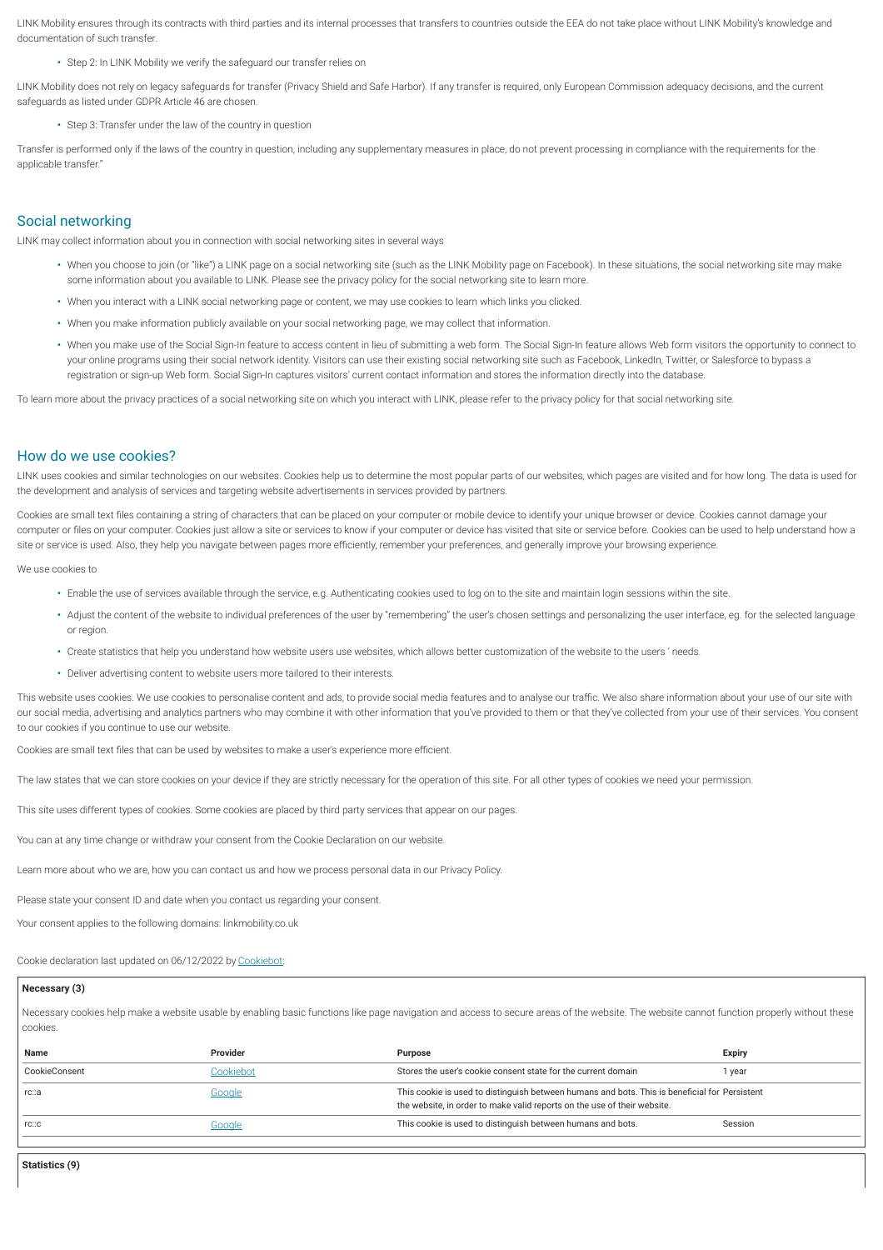LINK Mobility ensures through its contracts with third parties and its internal processes that transfers to countries outside the EEA do not take place without LINK Mobility's knowledge and documentation of such transfer.

**•** Step 2: In LINK Mobility we verify the safeguard our transfer relies on

LINK Mobility does not rely on legacy safeguards for transfer (Privacy Shield and Safe Harbor). If any transfer is required, only European Commission adequacy decisions, and the current safeguards as listed under GDPR Article 46 are chosen.

**•** Step 3: Transfer under the law of the country in question

Transfer is performed only if the laws of the country in question, including any supplementary measures in place, do not prevent processing in compliance with the requirements for the applicable transfer."

# Social networking

LINK may collect information about you in connection with social networking sites in several ways

- **•** When you choose to join (or "like") a LINK page on a social networking site (such as the LINK Mobility page on Facebook). In these situations, the social networking site may make some information about you available to LINK. Please see the privacy policy for the social networking site to learn more.
- **•** When you interact with a LINK social networking page or content, we may use cookies to learn which links you clicked.
- **•** When you make information publicly available on your social networking page, we may collect that information.
- **•** When you make use of the Social Sign-In feature to access content in lieu of submitting a web form. The Social Sign-In feature allows Web form visitors the opportunity to connect to your online programs using their social network identity. Visitors can use their existing social networking site such as Facebook, LinkedIn, Twitter, or Salesforce to bypass a registration or sign-up Web form. Social Sign-In captures visitors' current contact information and stores the information directly into the database.

To learn more about the privacy practices of a social networking site on which you interact with LINK, please refer to the privacy policy for that social networking site.

#### How do we use cookies?

LINK uses cookies and similar technologies on our websites. Cookies help us to determine the most popular parts of our websites, which pages are visited and for how long. The data is used for the development and analysis of services and targeting website advertisements in services provided by partners.

Cookies are small text files containing a string of characters that can be placed on your computer or mobile device to identify your unique browser or device. Cookies cannot damage your computer or files on your computer. Cookies just allow a site or services to know if your computer or device has visited that site or service before. Cookies can be used to help understand how a site or service is used. Also, they help you navigate between pages more efficiently, remember your preferences, and generally improve your browsing experience.

We use cookies to

- **•** Enable the use of services available through the service, e.g. Authenticating cookies used to log on to the site and maintain login sessions within the site.
- **•** Adjust the content of the website to individual preferences of the user by "remembering" the user's chosen settings and personalizing the user interface, eg. for the selected language or region.
- **•** Create statistics that help you understand how website users use websites, which allows better customization of the website to the users ' needs.
- **•** Deliver advertising content to website users more tailored to their interests.

This website uses cookies. We use cookies to personalise content and ads, to provide social media features and to analyse our traffic. We also share information about your use of our site with our social media, advertising and analytics partners who may combine it with other information that you've provided to them or that they've collected from your use of their services. You consent to our cookies if you continue to use our website.

Cookies are small text files that can be used by websites to make a user's experience more efficient.

The law states that we can store cookies on your device if they are strictly necessary for the operation of this site. For all other types of cookies we need your permission.

This site uses different types of cookies. Some cookies are placed by third party services that appear on our pages.

You can at any time change or withdraw your consent from the Cookie Declaration on our website.

Learn more about who we are, how you can contact us and how we process personal data in our Privacy Policy.

Please state your consent ID and date when you contact us regarding your consent.

Your consent applies to the following domains: linkmobility.co.uk

Cookie declaration last updated on 06/12/2022 by [Cookiebot](https://www.cookiebot.com):

#### **Necessary (3)**

Necessary cookies help make a website usable by enabling basic functions like page navigation and access to secure areas of the website. The website cannot function properly without these cookies.

| Name          | Provider  | <b>Purpose</b>                                                                                                                                                            | Expiry  |
|---------------|-----------|---------------------------------------------------------------------------------------------------------------------------------------------------------------------------|---------|
| CookieConsent | Cookiebot | Stores the user's cookie consent state for the current domain                                                                                                             | 1 vear  |
| rc::a         | Google    | This cookie is used to distinguish between humans and bots. This is beneficial for Persistent<br>the website, in order to make valid reports on the use of their website. |         |
| rc::c         | Google    | This cookie is used to distinguish between humans and bots.                                                                                                               | Session |
|               |           |                                                                                                                                                                           |         |